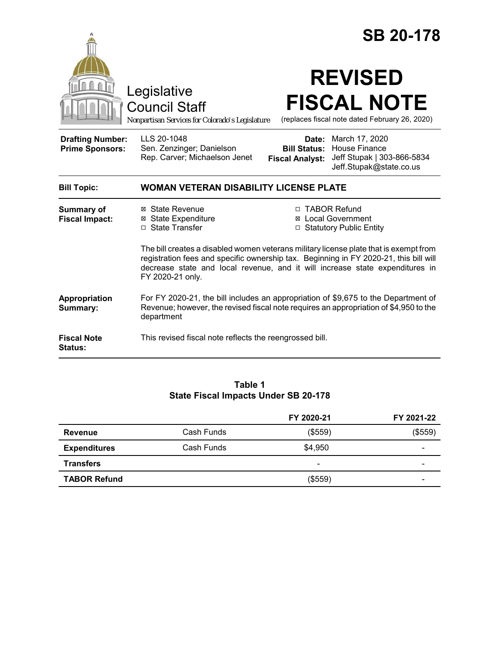|                                                   |                                                                                                                                                                                                                                                                                    |                                               | <b>SB 20-178</b>                                                                                             |
|---------------------------------------------------|------------------------------------------------------------------------------------------------------------------------------------------------------------------------------------------------------------------------------------------------------------------------------------|-----------------------------------------------|--------------------------------------------------------------------------------------------------------------|
|                                                   | Legislative<br><b>Council Staff</b><br>Nonpartisan Services for Colorado's Legislature                                                                                                                                                                                             |                                               | <b>REVISED</b><br><b>FISCAL NOTE</b><br>(replaces fiscal note dated February 26, 2020)                       |
| <b>Drafting Number:</b><br><b>Prime Sponsors:</b> | LLS 20-1048<br>Sen. Zenzinger; Danielson<br>Rep. Carver; Michaelson Jenet                                                                                                                                                                                                          | <b>Bill Status:</b><br><b>Fiscal Analyst:</b> | <b>Date:</b> March 17, 2020<br><b>House Finance</b><br>Jeff Stupak   303-866-5834<br>Jeff.Stupak@state.co.us |
| <b>Bill Topic:</b>                                | <b>WOMAN VETERAN DISABILITY LICENSE PLATE</b>                                                                                                                                                                                                                                      |                                               |                                                                                                              |
| <b>Summary of</b><br><b>Fiscal Impact:</b>        | ⊠ State Revenue<br><b>⊠ State Expenditure</b><br>□ State Transfer                                                                                                                                                                                                                  | □ TABOR Refund                                | <b>⊠</b> Local Government<br>□ Statutory Public Entity                                                       |
|                                                   | The bill creates a disabled women veterans military license plate that is exempt from<br>registration fees and specific ownership tax. Beginning in FY 2020-21, this bill will<br>decrease state and local revenue, and it will increase state expenditures in<br>FY 2020-21 only. |                                               |                                                                                                              |
| <b>Appropriation</b><br>Summary:                  | For FY 2020-21, the bill includes an appropriation of \$9,675 to the Department of<br>Revenue; however, the revised fiscal note requires an appropriation of \$4,950 to the<br>department                                                                                          |                                               |                                                                                                              |
| <b>Fiscal Note</b><br><b>Status:</b>              | This revised fiscal note reflects the reengrossed bill.                                                                                                                                                                                                                            |                                               |                                                                                                              |

# **Table 1 State Fiscal Impacts Under SB 20-178**

|                     |            | FY 2020-21               | FY 2021-22 |
|---------------------|------------|--------------------------|------------|
| <b>Revenue</b>      | Cash Funds | (\$559)                  | (\$559)    |
| <b>Expenditures</b> | Cash Funds | \$4,950                  | -          |
| <b>Transfers</b>    |            | $\overline{\phantom{0}}$ | -          |
| <b>TABOR Refund</b> |            | (\$559)                  | -          |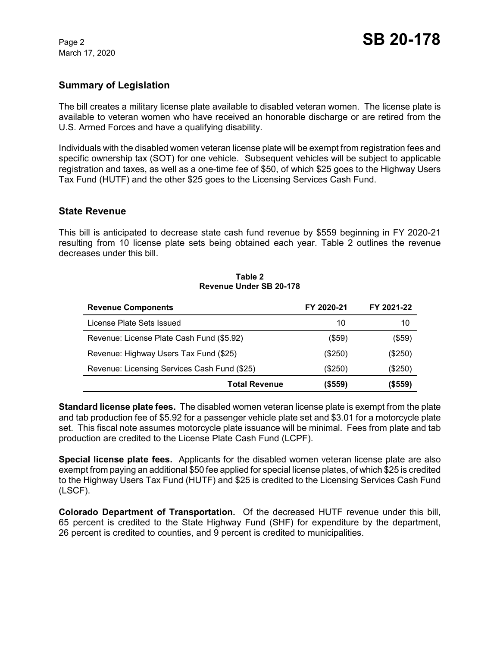March 17, 2020

#### **Summary of Legislation**

The bill creates a military license plate available to disabled veteran women. The license plate is available to veteran women who have received an honorable discharge or are retired from the U.S. Armed Forces and have a qualifying disability.

Individuals with the disabled women veteran license plate will be exempt from registration fees and specific ownership tax (SOT) for one vehicle. Subsequent vehicles will be subject to applicable registration and taxes, as well as a one-time fee of \$50, of which \$25 goes to the Highway Users Tax Fund (HUTF) and the other \$25 goes to the Licensing Services Cash Fund.

#### **State Revenue**

This bill is anticipated to decrease state cash fund revenue by \$559 beginning in FY 2020-21 resulting from 10 license plate sets being obtained each year. Table 2 outlines the revenue decreases under this bill.

#### **Table 2 Revenue Under SB 20-178**

| <b>Revenue Components</b>                    | FY 2020-21 | FY 2021-22 |
|----------------------------------------------|------------|------------|
| License Plate Sets Issued                    | 10         | 10         |
| Revenue: License Plate Cash Fund (\$5.92)    | $($ \$59)  | (\$59)     |
| Revenue: Highway Users Tax Fund (\$25)       | $(\$250)$  | (\$250)    |
| Revenue: Licensing Services Cash Fund (\$25) | (\$250)    | (\$250)    |
| <b>Total Revenue</b>                         | (\$559)    | (\$559)    |

**Standard license plate fees.** The disabled women veteran license plate is exempt from the plate and tab production fee of \$5.92 for a passenger vehicle plate set and \$3.01 for a motorcycle plate set. This fiscal note assumes motorcycle plate issuance will be minimal. Fees from plate and tab production are credited to the License Plate Cash Fund (LCPF).

**Special license plate fees.** Applicants for the disabled women veteran license plate are also exempt from paying an additional \$50 fee applied for special license plates, of which \$25 is credited to the Highway Users Tax Fund (HUTF) and \$25 is credited to the Licensing Services Cash Fund (LSCF).

**Colorado Department of Transportation.** Of the decreased HUTF revenue under this bill, 65 percent is credited to the State Highway Fund (SHF) for expenditure by the department, 26 percent is credited to counties, and 9 percent is credited to municipalities.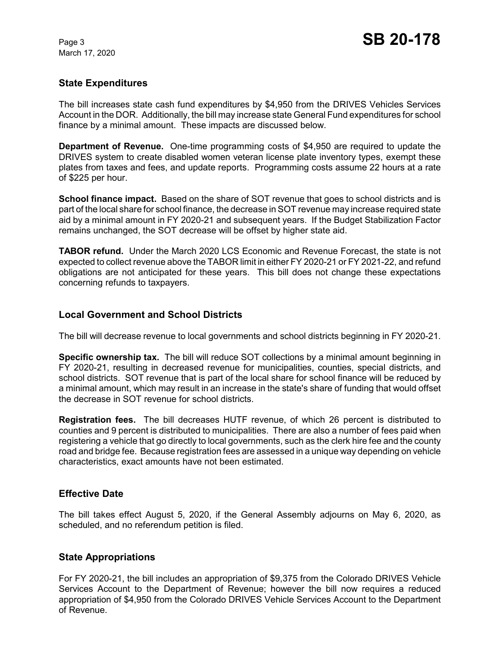March 17, 2020

## **State Expenditures**

The bill increases state cash fund expenditures by \$4,950 from the DRIVES Vehicles Services Account in the DOR. Additionally, the bill may increase state General Fund expenditures for school finance by a minimal amount. These impacts are discussed below.

**Department of Revenue.** One-time programming costs of \$4,950 are required to update the DRIVES system to create disabled women veteran license plate inventory types, exempt these plates from taxes and fees, and update reports. Programming costs assume 22 hours at a rate of \$225 per hour.

**School finance impact.** Based on the share of SOT revenue that goes to school districts and is part of the local share for school finance, the decrease in SOT revenue may increase required state aid by a minimal amount in FY 2020-21 and subsequent years. If the Budget Stabilization Factor remains unchanged, the SOT decrease will be offset by higher state aid.

**TABOR refund.** Under the March 2020 LCS Economic and Revenue Forecast, the state is not expected to collect revenue above the TABOR limit in either FY 2020-21 or FY 2021-22, and refund obligations are not anticipated for these years. This bill does not change these expectations concerning refunds to taxpayers.

#### **Local Government and School Districts**

The bill will decrease revenue to local governments and school districts beginning in FY 2020-21.

**Specific ownership tax.** The bill will reduce SOT collections by a minimal amount beginning in FY 2020-21, resulting in decreased revenue for municipalities, counties, special districts, and school districts. SOT revenue that is part of the local share for school finance will be reduced by a minimal amount, which may result in an increase in the state's share of funding that would offset the decrease in SOT revenue for school districts.

**Registration fees.** The bill decreases HUTF revenue, of which 26 percent is distributed to counties and 9 percent is distributed to municipalities. There are also a number of fees paid when registering a vehicle that go directly to local governments, such as the clerk hire fee and the county road and bridge fee. Because registration fees are assessed in a unique way depending on vehicle characteristics, exact amounts have not been estimated.

## **Effective Date**

The bill takes effect August 5, 2020, if the General Assembly adjourns on May 6, 2020, as scheduled, and no referendum petition is filed.

## **State Appropriations**

For FY 2020-21, the bill includes an appropriation of \$9,375 from the Colorado DRIVES Vehicle Services Account to the Department of Revenue; however the bill now requires a reduced appropriation of \$4,950 from the Colorado DRIVES Vehicle Services Account to the Department of Revenue.